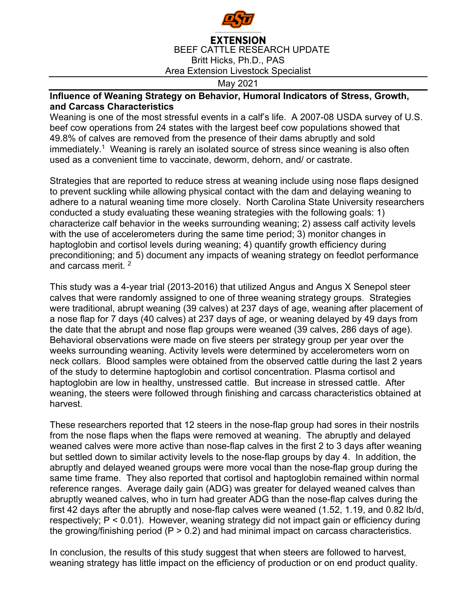

## **EXTENSION** BEEF CATTLE RESEARCH UPDATE Britt Hicks, Ph.D., PAS Area Extension Livestock Specialist

## May 2021

## **Influence of Weaning Strategy on Behavior, Humoral Indicators of Stress, Growth, and Carcass Characteristics**

Weaning is one of the most stressful events in a calf's life. A 2007-08 USDA survey of U.S. beef cow operations from 24 states with the largest beef cow populations showed that 49.8% of calves are removed from the presence of their dams abruptly and sold  $immediately.<sup>1</sup> Weaning is rarely an isolated source of stress since weaning is also often$ used as a convenient time to vaccinate, deworm, dehorn, and/ or castrate.

Strategies that are reported to reduce stress at weaning include using nose flaps designed to prevent suckling while allowing physical contact with the dam and delaying weaning to adhere to a natural weaning time more closely. North Carolina State University researchers conducted a study evaluating these weaning strategies with the following goals: 1) characterize calf behavior in the weeks surrounding weaning; 2) assess calf activity levels with the use of accelerometers during the same time period; 3) monitor changes in haptoglobin and cortisol levels during weaning; 4) quantify growth efficiency during preconditioning; and 5) document any impacts of weaning strategy on feedlot performance and carcass merit. 2

This study was a 4-year trial (2013-2016) that utilized Angus and Angus X Senepol steer calves that were randomly assigned to one of three weaning strategy groups. Strategies were traditional, abrupt weaning (39 calves) at 237 days of age, weaning after placement of a nose flap for 7 days (40 calves) at 237 days of age, or weaning delayed by 49 days from the date that the abrupt and nose flap groups were weaned (39 calves, 286 days of age). Behavioral observations were made on five steers per strategy group per year over the weeks surrounding weaning. Activity levels were determined by accelerometers worn on neck collars. Blood samples were obtained from the observed cattle during the last 2 years of the study to determine haptoglobin and cortisol concentration. Plasma cortisol and haptoglobin are low in healthy, unstressed cattle. But increase in stressed cattle. After weaning, the steers were followed through finishing and carcass characteristics obtained at harvest.

These researchers reported that 12 steers in the nose-flap group had sores in their nostrils from the nose flaps when the flaps were removed at weaning. The abruptly and delayed weaned calves were more active than nose-flap calves in the first 2 to 3 days after weaning but settled down to similar activity levels to the nose-flap groups by day 4. In addition, the abruptly and delayed weaned groups were more vocal than the nose-flap group during the same time frame. They also reported that cortisol and haptoglobin remained within normal reference ranges. Average daily gain (ADG) was greater for delayed weaned calves than abruptly weaned calves, who in turn had greater ADG than the nose-flap calves during the first 42 days after the abruptly and nose-flap calves were weaned (1.52, 1.19, and 0.82 lb/d, respectively; P < 0.01). However, weaning strategy did not impact gain or efficiency during the growing/finishing period  $(P > 0.2)$  and had minimal impact on carcass characteristics.

In conclusion, the results of this study suggest that when steers are followed to harvest, weaning strategy has little impact on the efficiency of production or on end product quality.